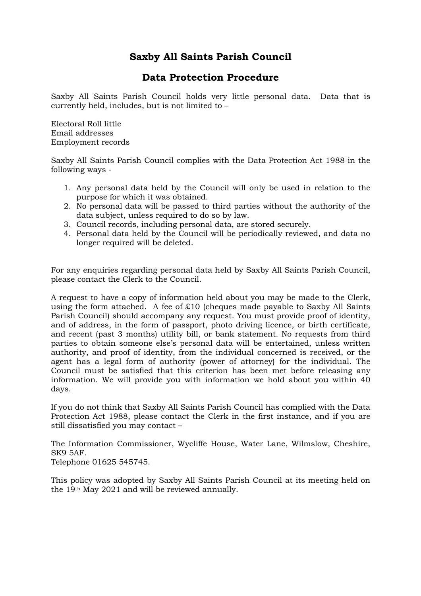# **Saxby All Saints Parish Council**

## **Data Protection Procedure**

Saxby All Saints Parish Council holds very little personal data. Data that is currently held, includes, but is not limited to –

Electoral Roll little Email addresses Employment records

Saxby All Saints Parish Council complies with the Data Protection Act 1988 in the following ways -

- 1. Any personal data held by the Council will only be used in relation to the purpose for which it was obtained.
- 2. No personal data will be passed to third parties without the authority of the data subject, unless required to do so by law.
- 3. Council records, including personal data, are stored securely.
- 4. Personal data held by the Council will be periodically reviewed, and data no longer required will be deleted.

For any enquiries regarding personal data held by Saxby All Saints Parish Council, please contact the Clerk to the Council.

A request to have a copy of information held about you may be made to the Clerk, using the form attached. A fee of £10 (cheques made payable to Saxby All Saints Parish Council) should accompany any request. You must provide proof of identity, and of address, in the form of passport, photo driving licence, or birth certificate, and recent (past 3 months) utility bill, or bank statement. No requests from third parties to obtain someone else's personal data will be entertained, unless written authority, and proof of identity, from the individual concerned is received, or the agent has a legal form of authority (power of attorney) for the individual. The Council must be satisfied that this criterion has been met before releasing any information. We will provide you with information we hold about you within 40 days.

If you do not think that Saxby All Saints Parish Council has complied with the Data Protection Act 1988, please contact the Clerk in the first instance, and if you are still dissatisfied you may contact –

The Information Commissioner, Wycliffe House, Water Lane, Wilmslow, Cheshire, SK9 5AF.

Telephone 01625 545745.

This policy was adopted by Saxby All Saints Parish Council at its meeting held on the 19th May 2021 and will be reviewed annually.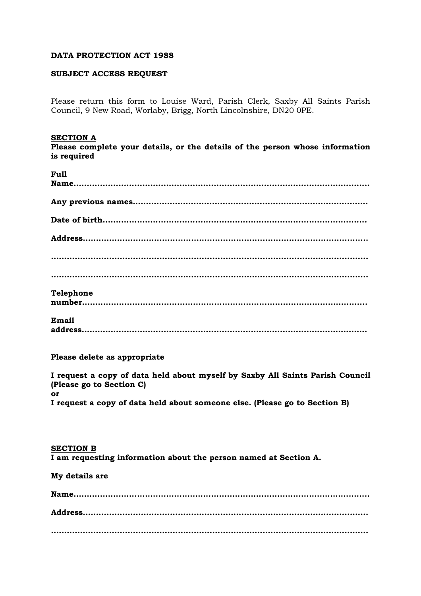#### **DATA PROTECTION ACT 1988**

#### **SUBJECT ACCESS REQUEST**

Please return this form to Louise Ward, Parish Clerk, Saxby All Saints Parish Council, 9 New Road, Worlaby, Brigg, North Lincolnshire, DN20 0PE.

#### **SECTION A**

**Please complete your details, or the details of the person whose information is required** 

| Full      |
|-----------|
|           |
|           |
|           |
|           |
|           |
|           |
|           |
|           |
|           |
|           |
|           |
|           |
| Telephone |
|           |
|           |
| Email     |
|           |
|           |

#### **Please delete as appropriate**

**I request a copy of data held about myself by Saxby All Saints Parish Council (Please go to Section C) or I request a copy of data held about someone else. (Please go to Section B)** 

**SECTION B I am requesting information about the person named at Section A.** 

## **My details are**